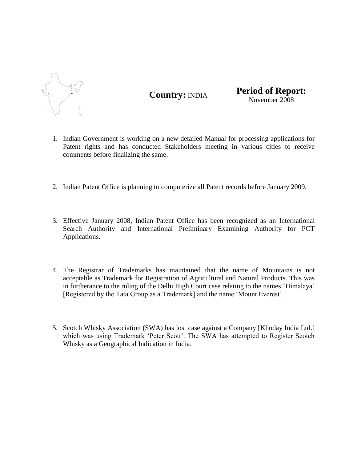